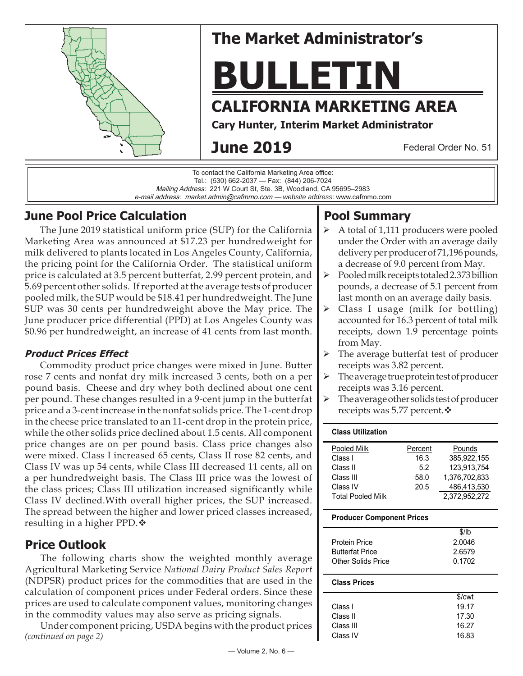

# **The Market Administrator's**

**BULLETIN**

## **CALIFORNIA MARKETING AREA**

**Cary Hunter, Interim Market Administrator**

## **June 2019**

Federal Order No. 51

To contact the California Marketing Area office: Tel.: (530) 662-2037 — Fax: (844) 206-7024 Mailing Address: 221 W Court St, Ste. 3B, Woodland, CA 95695–2983 e-mail address: market.admin@cafmmo.com — *website address*: www.cafmmo.com

## **June Pool Price Calculation**

The June 2019 statistical uniform price (SUP) for the California Marketing Area was announced at \$17.23 per hundredweight for milk delivered to plants located in Los Angeles County, California, the pricing point for the California Order. The statistical uniform price is calculated at 3.5 percent butterfat, 2.99 percent protein, and 5.69 percent other solids. If reported at the average tests of producer pooled milk, the SUP would be \$18.41 per hundredweight. The June SUP was 30 cents per hundredweight above the May price. The June producer price differential (PPD) at Los Angeles County was \$0.96 per hundredweight, an increase of 41 cents from last month.

### **Product Prices Effect**

Commodity product price changes were mixed in June. Butter rose 7 cents and nonfat dry milk increased 3 cents, both on a per pound basis. Cheese and dry whey both declined about one cent per pound. These changes resulted in a 9-cent jump in the butterfat price and a 3-cent increase in the nonfat solids price. The 1-cent drop in the cheese price translated to an 11-cent drop in the protein price, while the other solids price declined about 1.5 cents. All component price changes are on per pound basis. Class price changes also were mixed. Class I increased 65 cents, Class II rose 82 cents, and Class IV was up 54 cents, while Class III decreased 11 cents, all on a per hundredweight basis. The Class III price was the lowest of the class prices; Class III utilization increased significantly while Class IV declined.With overall higher prices, the SUP increased. The spread between the higher and lower priced classes increased, resulting in a higher PPD. ♦

## **Price Outlook**

The following charts show the weighted monthly average Agricultural Marketing Service *National Dairy Product Sales Report*  (NDPSR) product prices for the commodities that are used in the calculation of component prices under Federal orders. Since these prices are used to calculate component values, monitoring changes in the commodity values may also serve as pricing signals.

*(continued on page 2)* Under component pricing, USDA begins with the product prices

## **Pool Summary**

- A total of 1,111 producers were pooled under the Order with an average daily delivery per producer of 71,196 pounds, a decrease of 9.0 percent from May.
- $\triangleright$  Pooled milk receipts totaled 2.373 billion pounds, a decrease of 5.1 percent from last month on an average daily basis.
- $\triangleright$  Class I usage (milk for bottling) accounted for 16.3 percent of total milk receipts, down 1.9 percentage points from May.
- $\triangleright$  The average butterfat test of producer receipts was 3.82 percent.
- The average true protein test of producer receipts was 3.16 percent.
- $\triangleright$  The average other solids test of producer receipts was 5.77 percent. ❖

#### **Class Utilization**

| Pooled Milk              | Percent | Pounds        |
|--------------------------|---------|---------------|
| Class I                  | 16.3    | 385.922.155   |
| Class II                 | 5.2     | 123,913,754   |
| Class III                | 58.0    | 1.376.702.833 |
| Class IV                 | 20.5    | 486,413,530   |
| <b>Total Pooled Milk</b> |         | 2.372.952.272 |

#### **Producer Component Prices**

|                        | $$$ /lb |
|------------------------|---------|
| <b>Protein Price</b>   | 2.0046  |
| <b>Butterfat Price</b> | 2.6579  |
| Other Solids Price     | 0.1702  |
|                        |         |

#### **Class Prices**

|           | \$/cwt |
|-----------|--------|
| Class L   | 19.17  |
| Class II  | 17.30  |
| Class III | 16.27  |
| Class IV  | 16.83  |
|           |        |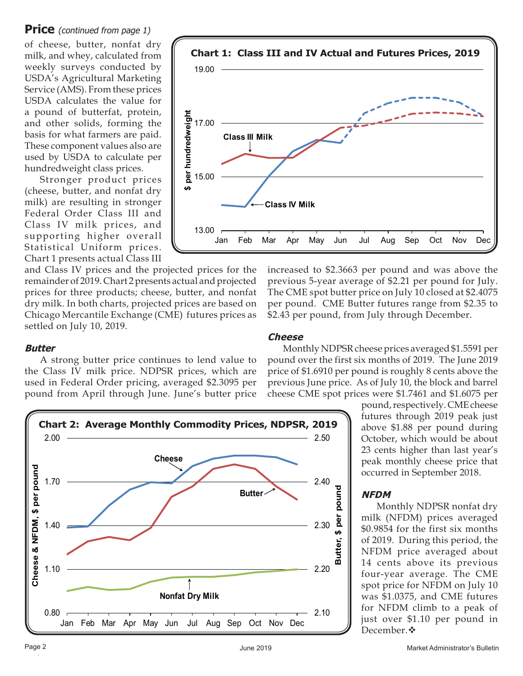#### **Price** (continued from page 1)

of cheese, butter, nonfat dry milk, and whey, calculated from weekly surveys conducted by USDA's Agricultural Marketing Service (AMS). From these prices USDA calculates the value for a pound of butterfat, protein, and other solids, forming the basis for what farmers are paid. These component values also are used by USDA to calculate per hundredweight class prices.

Stronger product prices (cheese, butter, and nonfat dry milk) are resulting in stronger Federal Order Class III and Class IV milk prices, and supporting higher overall Statistical Uniform prices. Chart 1 presents actual Class III

and Class IV prices and the projected prices for the remainder of 2019. Chart 2 presents actual and projected prices for three products; cheese, butter, and nonfat dry milk. In both charts, projected prices are based on Chicago Mercantile Exchange (CME) futures prices as settled on July 10, 2019.

#### increased to \$2.3663 per pound and was above the previous 5-year average of \$2.21 per pound for July. The CME spot butter price on July 10 closed at \$2.4075 per pound. CME Butter futures range from \$2.35 to \$2.43 per pound, from July through December.

#### **Butter**

A strong butter price continues to lend value to the Class IV milk price. NDPSR prices, which are used in Federal Order pricing, averaged \$2.3095 per pound from April through June. June's butter price



Monthly NDPSR cheese prices averaged \$1.5591 per pound over the first six months of 2019. The June 2019 price of \$1.6910 per pound is roughly 8 cents above the previous June price. As of July 10, the block and barrel cheese CME spot prices were \$1.7461 and \$1.6075 per

> pound, respectively. CME cheese futures through 2019 peak just above \$1.88 per pound during October, which would be about 23 cents higher than last year's peak monthly cheese price that occurred in September 2018.

#### **NFDM**

Monthly NDPSR nonfat dry milk (NFDM) prices averaged \$0.9854 for the first six months of 2019. During this period, the NFDM price averaged about 14 cents above its previous four-year average. The CME spot price for NFDM on July 10 was \$1.0375, and CME futures for NFDM climb to a peak of just over \$1.10 per pound in December. **❖** 



**Cheese**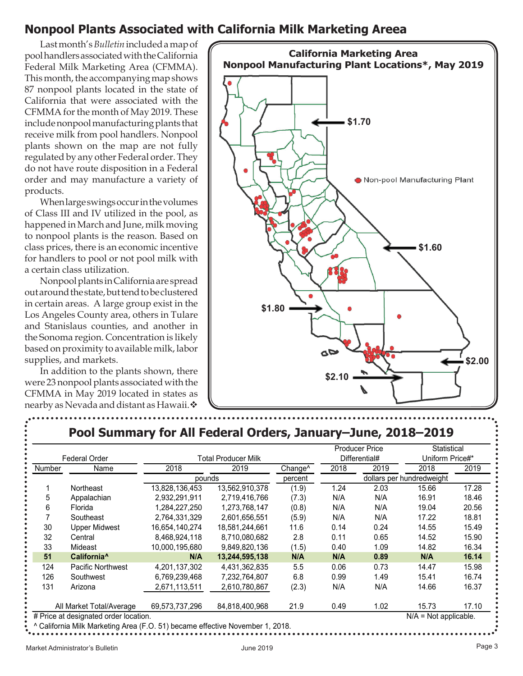## **Nonpool Plants Associated with California Milk Marketing Areea**

Last month's *Bulletin* included a map of pool handlers associated with the California Federal Milk Marketing Area (CFMMA). This month, the accompanying map shows 87 nonpool plants located in the state of California that were associated with the CFMMA for the month of May 2019. These include nonpool manufacturing plants that receive milk from pool handlers. Nonpool plants shown on the map are not fully regulated by any other Federal order. They do not have route disposition in a Federal order and may manufacture a variety of products.

When large swings occur in the volumes of Class III and IV utilized in the pool, as happened in March and June, milk moving to nonpool plants is the reason. Based on class prices, there is an economic incentive for handlers to pool or not pool milk with a certain class utilization.

Nonpool plants in California are spread out around the state, but tend to be clustered in certain areas. A large group exist in the Los Angeles County area, others in Tulare and Stanislaus counties, and another in the Sonoma region. Concentration is likely based on proximity to available milk, labor supplies, and markets.

In addition to the plants shown, there were 23 nonpool plants associated with the CFMMA in May 2019 located in states as nearby as Nevada and distant as Hawaii.



## **Pool Summary for All Federal Orders, January–June, 2018–2019**

|                                                                               |                          |                |                            |                     |                                  | <b>Producer Price</b>     | Statistical |       |
|-------------------------------------------------------------------------------|--------------------------|----------------|----------------------------|---------------------|----------------------------------|---------------------------|-------------|-------|
|                                                                               | <b>Federal Order</b>     |                | <b>Total Producer Milk</b> |                     | Differential#<br>Uniform Price#* |                           |             |       |
| Number                                                                        | Name                     | 2018           | 2019                       | Change <sup>^</sup> | 2018                             | 2019                      | 2018        | 2019  |
|                                                                               |                          | pounds         |                            | percent             |                                  | dollars per hundredweight |             |       |
|                                                                               | Northeast                | 13,828,136,453 | 13,562,910,378             | (1.9)               | 1.24                             | 2.03                      | 15.66       | 17.28 |
| 5                                                                             | Appalachian              | 2,932,291,911  | 2,719,416,766              | (7.3)               | N/A                              | N/A                       | 16.91       | 18.46 |
| 6                                                                             | Florida                  | 1,284,227,250  | 1,273,768,147              | (0.8)               | N/A                              | N/A                       | 19.04       | 20.56 |
|                                                                               | Southeast                | 2,764,331,329  | 2,601,656,551              | (5.9)               | N/A                              | N/A                       | 17.22       | 18.81 |
| 30                                                                            | <b>Upper Midwest</b>     | 16,654,140,274 | 18,581,244,661             | 11.6                | 0.14                             | 0.24                      | 14.55       | 15.49 |
| 32                                                                            | Central                  | 8,468,924,118  | 8,710,080,682              | 2.8                 | 0.11                             | 0.65                      | 14.52       | 15.90 |
| 33                                                                            | Mideast                  | 10,000,195,680 | 9,849,820,136              | (1.5)               | 0.40                             | 1.09                      | 14.82       | 16.34 |
| 51                                                                            | California <sup>^</sup>  | N/A            | 13,244,595,138             | N/A                 | N/A                              | 0.89                      | N/A         | 16.14 |
| 124                                                                           | Pacific Northwest        | 4,201,137,302  | 4,431,362,835              | 5.5                 | 0.06                             | 0.73                      | 14.47       | 15.98 |
| 126                                                                           | Southwest                | 6,769,239,468  | 7,232,764,807              | 6.8                 | 0.99                             | 1.49                      | 15.41       | 16.74 |
| 131                                                                           | Arizona                  | 2,671,113,511  | 2,610,780,867              | (2.3)               | N/A                              | N/A                       | 14.66       | 16.37 |
|                                                                               | All Market Total/Average | 69,573,737,296 | 84,818,400,968             | 21.9                | 0.49                             | 1.02                      | 15.73       | 17.10 |
| # Price at designated order location.<br>$N/A = Not applicable.$              |                          |                |                            |                     |                                  |                           |             |       |
| ^ California Milk Marketing Area (F.O. 51) became effective November 1, 2018. |                          |                |                            |                     |                                  |                           |             |       |